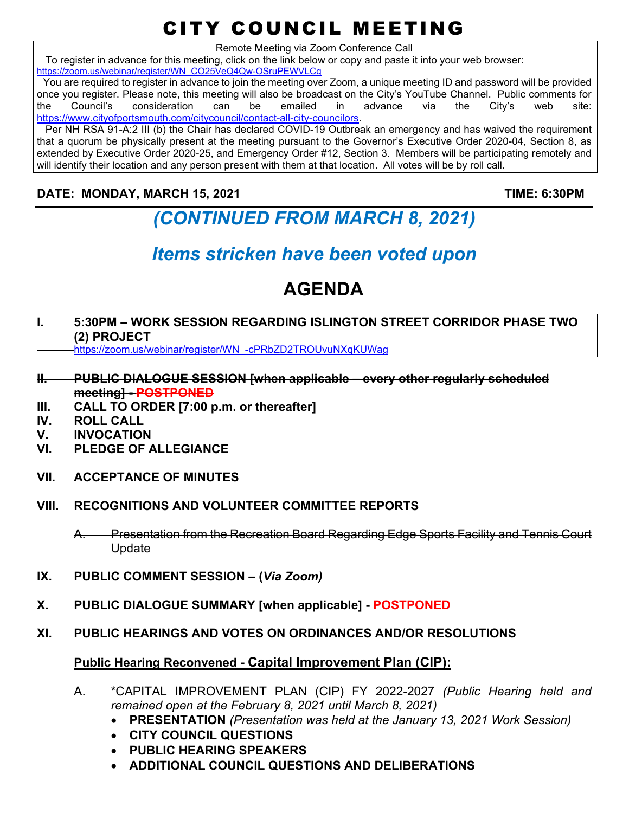# CITY COUNCIL MEETING

Remote Meeting via Zoom Conference Call

 To register in advance for this meeting, click on the link below or copy and paste it into your web browser: https://zoom.us/webinar/register/WN\_CO25VeQ4Qw-OSruPEWVLCg

 You are required to register in advance to join the meeting over Zoom, a unique meeting ID and password will be provided once you register. Please note, this meeting will also be broadcast on the City's YouTube Channel. Public comments for the Council's consideration can be emailed in advance via the City's web site: https://www.cityofportsmouth.com/citycouncil/contact-all-city-councilors.

 Per NH RSA 91-A:2 III (b) the Chair has declared COVID-19 Outbreak an emergency and has waived the requirement that a quorum be physically present at the meeting pursuant to the Governor's Executive Order 2020-04, Section 8, as extended by Executive Order 2020-25, and Emergency Order #12, Section 3. Members will be participating remotely and will identify their location and any person present with them at that location. All votes will be by roll call.

### **DATE: MONDAY, MARCH 15, 2021 TIME: 6:30PM**

## *(CONTINUED FROM MARCH 8, 2021)*

### *Items stricken have been voted upon*

## **AGENDA**

#### **I. 5:30PM – WORK SESSION REGARDING ISLINGTON STREET CORRIDOR PHASE TWO (2) PROJECT**

<u>room.us/webinar/register/WN\_-cPRbZD2TROUvuNXqKUWag</u>

- **II. PUBLIC DIALOGUE SESSION [when applicable every other regularly scheduled meeting] - POSTPONED**
- **III. CALL TO ORDER [7:00 p.m. or thereafter]**
- **IV. ROLL CALL**
- **V. INVOCATION**
- **VI. PLEDGE OF ALLEGIANCE**
- **VII. ACCEPTANCE OF MINUTES**

#### **VIII. RECOGNITIONS AND VOLUNTEER COMMITTEE REPORTS**

A. Presentation from the Recreation Board Regarding Edge Sports Facility and Tennis Court **Update** 

- **IX. PUBLIC COMMENT SESSION (***Via Zoom)*
- **X. PUBLIC DIALOGUE SUMMARY [when applicable] POSTPONED**
- **XI. PUBLIC HEARINGS AND VOTES ON ORDINANCES AND/OR RESOLUTIONS**

#### **Public Hearing Reconvened - Capital Improvement Plan (CIP):**

- A. \*CAPITAL IMPROVEMENT PLAN (CIP) FY 2022-2027 *(Public Hearing held and remained open at the February 8, 2021 until March 8, 2021)*
	- **PRESENTATION** *(Presentation was held at the January 13, 2021 Work Session)*
	- **CITY COUNCIL QUESTIONS**
	- **PUBLIC HEARING SPEAKERS**
	- **ADDITIONAL COUNCIL QUESTIONS AND DELIBERATIONS**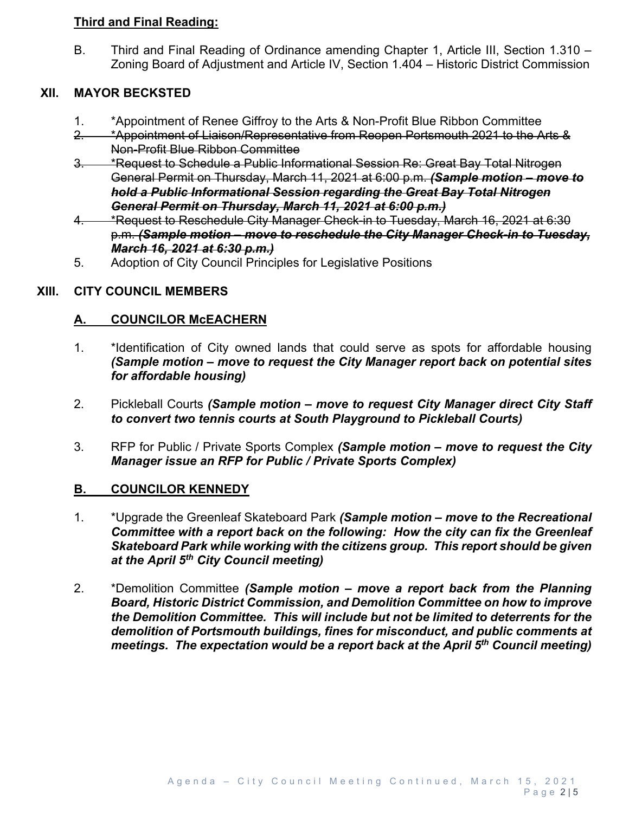#### **Third and Final Reading:**

B. Third and Final Reading of Ordinance amending Chapter 1, Article III, Section 1.310 – Zoning Board of Adjustment and Article IV, Section 1.404 – Historic District Commission

#### **XII. MAYOR BECKSTED**

- 1. \*Appointment of Renee Giffroy to the Arts & Non-Profit Blue Ribbon Committee
- 2. \*Appointment of Liaison/Representative from Reopen Portsmouth 2021 to the Arts & Non-Profit Blue Ribbon Committee
- 3. \*\*Request to Schedule a Public Informational Session Re: Great Bay Total Nitrogen General Permit on Thursday, March 11, 2021 at 6:00 p.m. *(Sample motion – move to hold a Public Informational Session regarding the Great Bay Total Nitrogen General Permit on Thursday, March 11, 2021 at 6:00 p.m.)*
- 4. \*Request to Reschedule City Manager Check-in to Tuesday, March 16, 2021 at 6:30 p.m. *(Sample motion – move to reschedule the City Manager Check-in to Tuesday, March 16, 2021 at 6:30 p.m.)*
- 5. Adoption of City Council Principles for Legislative Positions

#### **XIII. CITY COUNCIL MEMBERS**

#### **A. COUNCILOR McEACHERN**

- 1. \*Identification of City owned lands that could serve as spots for affordable housing *(Sample motion – move to request the City Manager report back on potential sites for affordable housing)*
- 2. Pickleball Courts *(Sample motion move to request City Manager direct City Staff to convert two tennis courts at South Playground to Pickleball Courts)*
- 3. RFP for Public / Private Sports Complex *(Sample motion move to request the City Manager issue an RFP for Public / Private Sports Complex)*

#### **B. COUNCILOR KENNEDY**

- 1. \*Upgrade the Greenleaf Skateboard Park *(Sample motion move to the Recreational Committee with a report back on the following: How the city can fix the Greenleaf Skateboard Park while working with the citizens group. This report should be given at the April 5th City Council meeting)*
- 2. \*Demolition Committee *(Sample motion move a report back from the Planning Board, Historic District Commission, and Demolition Committee on how to improve the Demolition Committee. This will include but not be limited to deterrents for the demolition of Portsmouth buildings, fines for misconduct, and public comments at meetings. The expectation would be a report back at the April 5th Council meeting)*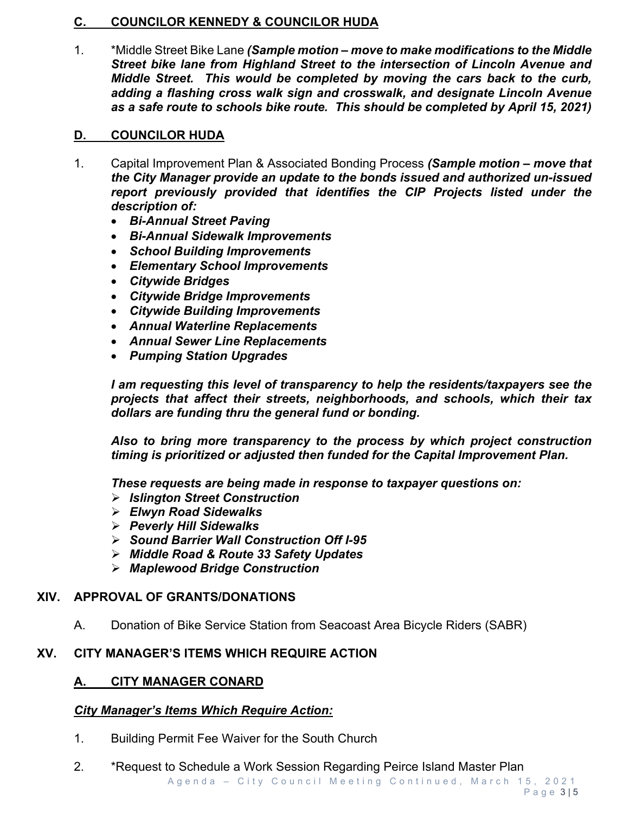#### **C. COUNCILOR KENNEDY & COUNCILOR HUDA**

1. \*Middle Street Bike Lane *(Sample motion – move to make modifications to the Middle Street bike lane from Highland Street to the intersection of Lincoln Avenue and Middle Street. This would be completed by moving the cars back to the curb, adding a flashing cross walk sign and crosswalk, and designate Lincoln Avenue as a safe route to schools bike route. This should be completed by April 15, 2021)* 

#### **D. COUNCILOR HUDA**

- 1. Capital Improvement Plan & Associated Bonding Process *(Sample motion move that the City Manager provide an update to the bonds issued and authorized un-issued report previously provided that identifies the CIP Projects listed under the description of:* 
	- *Bi-Annual Street Paving*
	- *Bi-Annual Sidewalk Improvements*
	- *School Building Improvements*
	- *Elementary School Improvements*
	- *Citywide Bridges*
	- *Citywide Bridge Improvements*
	- *Citywide Building Improvements*
	- *Annual Waterline Replacements*
	- *Annual Sewer Line Replacements*
	- *Pumping Station Upgrades*

*I am requesting this level of transparency to help the residents/taxpayers see the projects that affect their streets, neighborhoods, and schools, which their tax dollars are funding thru the general fund or bonding.* 

*Also to bring more transparency to the process by which project construction timing is prioritized or adjusted then funded for the Capital Improvement Plan.* 

*These requests are being made in response to taxpayer questions on:* 

- *Islington Street Construction*
- *Elwyn Road Sidewalks*
- *Peverly Hill Sidewalks*
- *Sound Barrier Wall Construction Off I-95*
- *Middle Road & Route 33 Safety Updates*
- *Maplewood Bridge Construction*

#### **XIV. APPROVAL OF GRANTS/DONATIONS**

A. Donation of Bike Service Station from Seacoast Area Bicycle Riders (SABR)

### **XV. CITY MANAGER'S ITEMS WHICH REQUIRE ACTION**

### **A. CITY MANAGER CONARD**

### *City Manager's Items Which Require Action:*

- 1. Building Permit Fee Waiver for the South Church
- Agenda City Council Meeting Continued, March 15, 2021 Page 3 | 5 2. \*Request to Schedule a Work Session Regarding Peirce Island Master Plan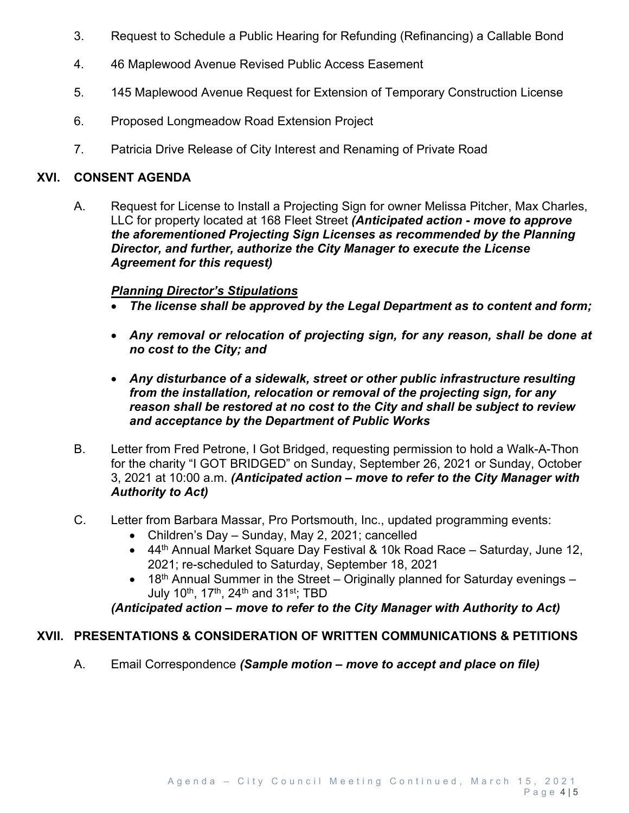- 3. Request to Schedule a Public Hearing for Refunding (Refinancing) a Callable Bond
- 4. 46 Maplewood Avenue Revised Public Access Easement
- 5. 145 Maplewood Avenue Request for Extension of Temporary Construction License
- 6. Proposed Longmeadow Road Extension Project
- 7. Patricia Drive Release of City Interest and Renaming of Private Road

#### **XVI. CONSENT AGENDA**

A. Request for License to Install a Projecting Sign for owner Melissa Pitcher, Max Charles, LLC for property located at 168 Fleet Street *(Anticipated action - move to approve the aforementioned Projecting Sign Licenses as recommended by the Planning Director, and further, authorize the City Manager to execute the License Agreement for this request)*

#### *Planning Director's Stipulations*

- *The license shall be approved by the Legal Department as to content and form;*
- *Any removal or relocation of projecting sign, for any reason, shall be done at no cost to the City; and*
- *Any disturbance of a sidewalk, street or other public infrastructure resulting from the installation, relocation or removal of the projecting sign, for any reason shall be restored at no cost to the City and shall be subject to review and acceptance by the Department of Public Works*
- B. Letter from Fred Petrone, I Got Bridged, requesting permission to hold a Walk-A-Thon for the charity "I GOT BRIDGED" on Sunday, September 26, 2021 or Sunday, October 3, 2021 at 10:00 a.m. *(Anticipated action – move to refer to the City Manager with Authority to Act)*
- C. Letter from Barbara Massar, Pro Portsmouth, Inc., updated programming events:
	- Children's Day Sunday, May 2, 2021; cancelled
	- 44<sup>th</sup> Annual Market Square Day Festival & 10k Road Race Saturday, June 12, 2021; re-scheduled to Saturday, September 18, 2021
	- $\bullet$  18<sup>th</sup> Annual Summer in the Street Originally planned for Saturday evenings July  $10^{th}$ ,  $17^{th}$ ,  $24^{th}$  and  $31^{st}$ ; TBD

*(Anticipated action – move to refer to the City Manager with Authority to Act)* 

#### **XVII. PRESENTATIONS & CONSIDERATION OF WRITTEN COMMUNICATIONS & PETITIONS**

A. Email Correspondence *(Sample motion – move to accept and place on file)*